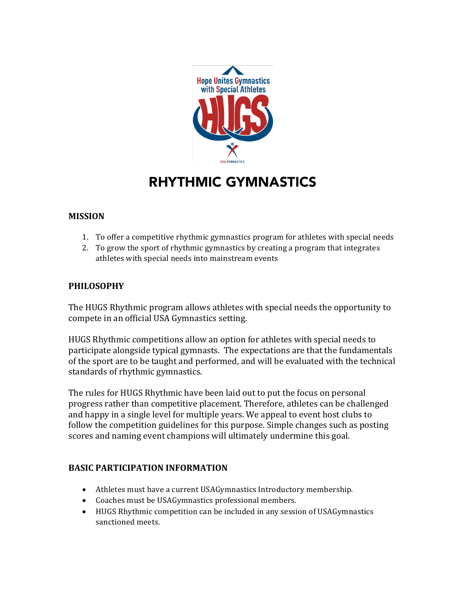

# RHYTHMIC GYMNASTICS

### **MISSION**

- 1. To offer a competitive rhythmic gymnastics program for athletes with special needs
- 2. To grow the sport of rhythmic gymnastics by creating a program that integrates athletes with special needs into mainstream events

### **PHILOSOPHY**

The HUGS Rhythmic program allows athletes with special needs the opportunity to compete in an official USA Gymnastics setting.

HUGS Rhythmic competitions allow an option for athletes with special needs to participate alongside typical gymnasts. The expectations are that the fundamentals of the sport are to be taught and performed, and will be evaluated with the technical standards of rhythmic gymnastics.

The rules for HUGS Rhythmic have been laid out to put the focus on personal progress rather than competitive placement. Therefore, athletes can be challenged and happy in a single level for multiple years. We appeal to event host clubs to follow the competition guidelines for this purpose. Simple changes such as posting scores and naming event champions will ultimately undermine this goal.

## **BASIC PARTICIPATION INFORMATION**

- Athletes must have a current USAGymnastics Introductory membership.
- Coaches must be USAGymnastics professional members.
- HUGS Rhythmic competition can be included in any session of USAGymnastics sanctioned meets.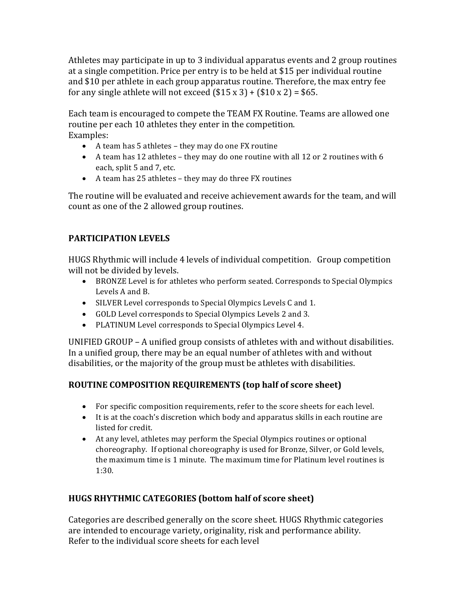Athletes may participate in up to 3 individual apparatus events and 2 group routines at a single competition. Price per entry is to be held at \$15 per individual routine and \$10 per athlete in each group apparatus routine. Therefore, the max entry fee for any single athlete will not exceed  $($15 \times 3) + ($10 \times 2) = $65$ .

Each team is encouraged to compete the TEAM FX Routine. Teams are allowed one routine per each 10 athletes they enter in the competition. Examples:

- A team has 5 athletes they may do one FX routine
- A team has 12 athletes they may do one routine with all 12 or 2 routines with 6 each, split 5 and 7, etc.
- A team has 25 athletes they may do three FX routines

The routine will be evaluated and receive achievement awards for the team, and will count as one of the 2 allowed group routines.

# **PARTICIPATION LEVELS**

HUGS Rhythmic will include 4 levels of individual competition. Group competition will not be divided by levels.

- BRONZE Level is for athletes who perform seated. Corresponds to Special Olympics Levels A and B.
- SILVER Level corresponds to Special Olympics Levels C and 1.
- GOLD Level corresponds to Special Olympics Levels 2 and 3.
- PLATINUM Level corresponds to Special Olympics Level 4.

UNIFIED GROUP - A unified group consists of athletes with and without disabilities. In a unified group, there may be an equal number of athletes with and without disabilities, or the majority of the group must be athletes with disabilities.

# **ROUTINE COMPOSITION REQUIREMENTS (top half of score sheet)**

- For specific composition requirements, refer to the score sheets for each level.
- It is at the coach's discretion which body and apparatus skills in each routine are listed for credit.
- At any level, athletes may perform the Special Olympics routines or optional choreography. If optional choreography is used for Bronze, Silver, or Gold levels, the maximum time is 1 minute. The maximum time for Platinum level routines is 1:30.

# **HUGS RHYTHMIC CATEGORIES (bottom half of score sheet)**

Categories are described generally on the score sheet. HUGS Rhythmic categories are intended to encourage variety, originality, risk and performance ability. Refer to the individual score sheets for each level